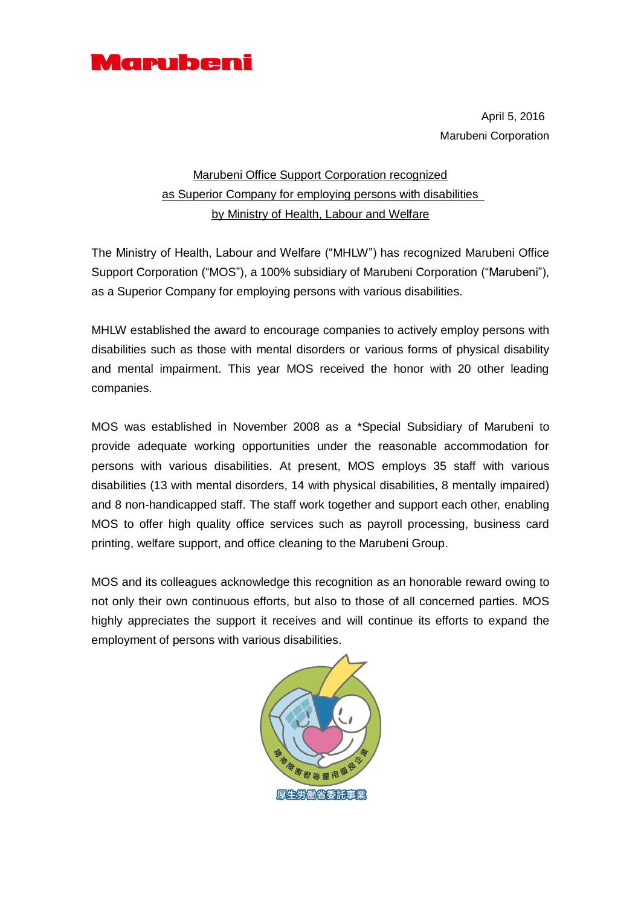

April 5, 2016 Marubeni Corporation

## Marubeni Office Support Corporation recognized as Superior Company for employing persons with disabilities by Ministry of Health, Labour and Welfare

The Ministry of Health, Labour and Welfare ("MHLW") has recognized Marubeni Office Support Corporation ("MOS"), a 100% subsidiary of Marubeni Corporation ("Marubeni"), as a Superior Company for employing persons with various disabilities.

MHLW established the award to encourage companies to actively employ persons with disabilities such as those with mental disorders or various forms of physical disability and mental impairment. This year MOS received the honor with 20 other leading companies.

MOS was established in November 2008 as a \*Special Subsidiary of Marubeni to provide adequate working opportunities under the reasonable accommodation for persons with various disabilities. At present, MOS employs 35 staff with various disabilities (13 with mental disorders, 14 with physical disabilities, 8 mentally impaired) and 8 non-handicapped staff. The staff work together and support each other, enabling MOS to offer high quality office services such as payroll processing, business card printing, welfare support, and office cleaning to the Marubeni Group.

MOS and its colleagues acknowledge this recognition as an honorable reward owing to not only their own continuous efforts, but also to those of all concerned parties. MOS highly appreciates the support it receives and will continue its efforts to expand the employment of persons with various disabilities.